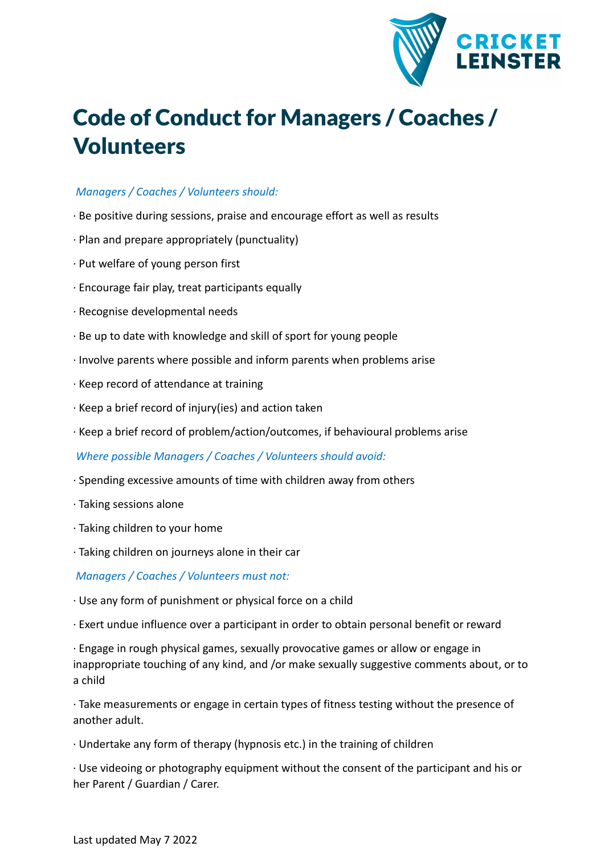

## Code of Conduct for Managers / Coaches / Volunteers

## *Managers / Coaches / Volunteers should:*

- · Be positive during sessions, praise and encourage effort as well as results
- · Plan and prepare appropriately (punctuality)
- · Put welfare of young person first
- · Encourage fair play, treat participants equally
- · Recognise developmental needs
- · Be up to date with knowledge and skill of sport for young people
- · Involve parents where possible and inform parents when problems arise
- · Keep record of attendance at training
- · Keep a brief record of injury(ies) and action taken
- · Keep a brief record of problem/action/outcomes, if behavioural problems arise

*Where possible Managers / Coaches / Volunteers should avoid:*

- · Spending excessive amounts of time with children away from others
- · Taking sessions alone
- · Taking children to your home
- · Taking children on journeys alone in their car

*Managers / Coaches / Volunteers must not:*

- · Use any form of punishment or physical force on a child
- · Exert undue influence over a participant in order to obtain personal benefit or reward

· Engage in rough physical games, sexually provocative games or allow or engage in inappropriate touching of any kind, and /or make sexually suggestive comments about, or to a child

· Take measurements or engage in certain types of fitness testing without the presence of another adult.

· Undertake any form of therapy (hypnosis etc.) in the training of children

· Use videoing or photography equipment without the consent of the participant and his or her Parent / Guardian / Carer.